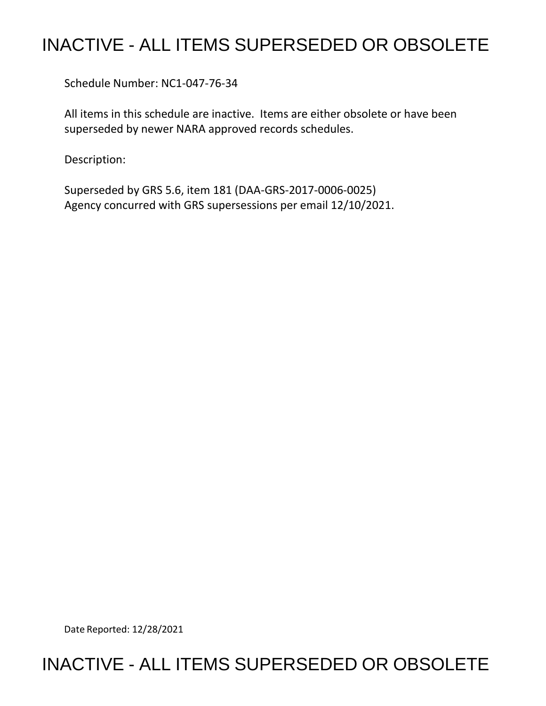## INACTIVE - ALL ITEMS SUPERSEDED OR OBSOLETE

Schedule Number: NC1-047-76-34

 All items in this schedule are inactive. Items are either obsolete or have been superseded by newer NARA approved records schedules.

Description:

 Superseded by GRS 5.6, item 181 (DAA-GRS-2017-0006-0025) Agency concurred with GRS supersessions per email 12/10/2021.

Date Reported: 12/28/2021

## INACTIVE - ALL ITEMS SUPERSEDED OR OBSOLETE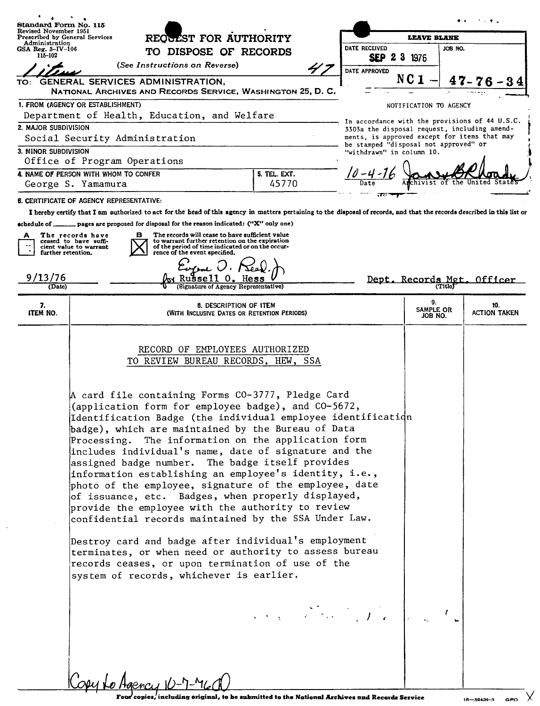| Standard Form No. 115                                   |                                                                                                                                                                                                                                                                                                                                                                                                                                                                                                                                                                                                                                                                                                                                                                                                                                                                                                                                                                                       |                                                                       |                                      |                                                                                              |                                                |  |
|---------------------------------------------------------|---------------------------------------------------------------------------------------------------------------------------------------------------------------------------------------------------------------------------------------------------------------------------------------------------------------------------------------------------------------------------------------------------------------------------------------------------------------------------------------------------------------------------------------------------------------------------------------------------------------------------------------------------------------------------------------------------------------------------------------------------------------------------------------------------------------------------------------------------------------------------------------------------------------------------------------------------------------------------------------|-----------------------------------------------------------------------|--------------------------------------|----------------------------------------------------------------------------------------------|------------------------------------------------|--|
| Revised November 1951<br>Prescribed by General Services | REOGEST FOR AUTHORITY<br>TO DISPOSE OF RECORDS                                                                                                                                                                                                                                                                                                                                                                                                                                                                                                                                                                                                                                                                                                                                                                                                                                                                                                                                        |                                                                       | <b>LEAVE BLANK</b>                   |                                                                                              |                                                |  |
| Administration<br>$GSA$ Reg. $3-\text{IV}-106$          |                                                                                                                                                                                                                                                                                                                                                                                                                                                                                                                                                                                                                                                                                                                                                                                                                                                                                                                                                                                       |                                                                       | DATE RECEIVED                        | JOB NO.                                                                                      |                                                |  |
| 115-102                                                 | (See Instructions on Reverse)                                                                                                                                                                                                                                                                                                                                                                                                                                                                                                                                                                                                                                                                                                                                                                                                                                                                                                                                                         |                                                                       | <b>SEP 2 3 1976</b><br>DATE APPROVED |                                                                                              |                                                |  |
| TO:                                                     | GENERAL SERVICES ADMINISTRATION,                                                                                                                                                                                                                                                                                                                                                                                                                                                                                                                                                                                                                                                                                                                                                                                                                                                                                                                                                      |                                                                       |                                      | NC <sub>1</sub>                                                                              |                                                |  |
|                                                         | NATIONAL ARCHIVES AND RECORDS SERVICE, WASHINGTON 25, D. C.                                                                                                                                                                                                                                                                                                                                                                                                                                                                                                                                                                                                                                                                                                                                                                                                                                                                                                                           |                                                                       |                                      |                                                                                              |                                                |  |
| 1. FROM (AGENCY OR ESTABLISHMENT)                       |                                                                                                                                                                                                                                                                                                                                                                                                                                                                                                                                                                                                                                                                                                                                                                                                                                                                                                                                                                                       |                                                                       |                                      | NOTIFICATION TO AGENCY                                                                       |                                                |  |
|                                                         | Department of Health, Education, and Welfare                                                                                                                                                                                                                                                                                                                                                                                                                                                                                                                                                                                                                                                                                                                                                                                                                                                                                                                                          |                                                                       |                                      |                                                                                              | In accordance with the provisions of 44 U.S.C. |  |
| 2. MAJOR SUBDIVISION<br>Social Security Administration  |                                                                                                                                                                                                                                                                                                                                                                                                                                                                                                                                                                                                                                                                                                                                                                                                                                                                                                                                                                                       |                                                                       |                                      | 3303a the disposal request, including amend-<br>ments, is approved except for items that may |                                                |  |
| 3. MINOR SUBDIVISION<br>Office of Program Operations    |                                                                                                                                                                                                                                                                                                                                                                                                                                                                                                                                                                                                                                                                                                                                                                                                                                                                                                                                                                                       |                                                                       | "withdrawn" in column 10.            | be stamped "disposal not approved" or                                                        |                                                |  |
| 4. NAME OF PERSON WITH WHOM TO CONFER                   |                                                                                                                                                                                                                                                                                                                                                                                                                                                                                                                                                                                                                                                                                                                                                                                                                                                                                                                                                                                       | 5. TEL. EXT.                                                          |                                      |                                                                                              |                                                |  |
| George S. Yamamura                                      |                                                                                                                                                                                                                                                                                                                                                                                                                                                                                                                                                                                                                                                                                                                                                                                                                                                                                                                                                                                       | 45770                                                                 |                                      | the                                                                                          |                                                |  |
| 6. CERTIFICATE OF AGENCY REPRESENTATIVE:                |                                                                                                                                                                                                                                                                                                                                                                                                                                                                                                                                                                                                                                                                                                                                                                                                                                                                                                                                                                                       |                                                                       |                                      |                                                                                              |                                                |  |
|                                                         | I hereby certify that I am authorized to act for the head of this agency in matters pertaining to the disposal of records, and that the records described in this list or                                                                                                                                                                                                                                                                                                                                                                                                                                                                                                                                                                                                                                                                                                                                                                                                             |                                                                       |                                      |                                                                                              |                                                |  |
| schedule of _                                           | _pages are proposed for disposal for the reason indicated: ("X" only one)                                                                                                                                                                                                                                                                                                                                                                                                                                                                                                                                                                                                                                                                                                                                                                                                                                                                                                             |                                                                       |                                      |                                                                                              |                                                |  |
| The records have<br>ceased to have suffi-               | The records will cease to have sufficient value<br>в<br>to warrant further retention on the expiration                                                                                                                                                                                                                                                                                                                                                                                                                                                                                                                                                                                                                                                                                                                                                                                                                                                                                |                                                                       |                                      |                                                                                              |                                                |  |
| cient value to warrant<br>further retention.            | of the period of time indicated or on the occur-<br>rence of the event specified.                                                                                                                                                                                                                                                                                                                                                                                                                                                                                                                                                                                                                                                                                                                                                                                                                                                                                                     |                                                                       |                                      |                                                                                              |                                                |  |
|                                                         |                                                                                                                                                                                                                                                                                                                                                                                                                                                                                                                                                                                                                                                                                                                                                                                                                                                                                                                                                                                       |                                                                       |                                      |                                                                                              |                                                |  |
| 9/13/76<br>(Date)                                       | <b>Signature of Agency Representative)</b>                                                                                                                                                                                                                                                                                                                                                                                                                                                                                                                                                                                                                                                                                                                                                                                                                                                                                                                                            |                                                                       |                                      | <u>Dept. Records Met</u>                                                                     | Officer                                        |  |
|                                                         |                                                                                                                                                                                                                                                                                                                                                                                                                                                                                                                                                                                                                                                                                                                                                                                                                                                                                                                                                                                       |                                                                       |                                      |                                                                                              |                                                |  |
| 7.<br>ITEM NO.                                          |                                                                                                                                                                                                                                                                                                                                                                                                                                                                                                                                                                                                                                                                                                                                                                                                                                                                                                                                                                                       | 8. DESCRIPTION OF ITEM<br>(With Inclusive Dates or Retention Periods) |                                      | 9.<br>SAMPLE OR<br>JOB NO.                                                                   | 10.<br><b>ACTION TAKEN</b>                     |  |
|                                                         | RECORD OF EMPLOYEES AUTHORIZED<br>TO REVIEW BUREAU RECORDS, HEW, SSA<br>A card file containing Forms CO-3777, Pledge Card<br>(application form for employee badge), and CO-5672,<br>Identification Badge (the individual employee identification<br>badge), which are maintained by the Bureau of Data<br>Processing. The information on the application form<br>includes individual's name, date of signature and the<br>assigned badge number. The badge itself provides<br>information establishing an employee's identity, i.e.,<br>photo of the employee, signature of the employee, date<br>of issuance, etc. Badges, when properly displayed,<br>provide the employee with the authority to review<br>confidential records maintained by the SSA Under Law.<br>Destroy card and badge after individual's employment<br>terminates, or when need or authority to assess bureau<br>records ceases, or upon termination of use of the<br>system of records, whichever is earlier. | and the state of the first of                                         |                                      |                                                                                              |                                                |  |

 $\bar{z}$